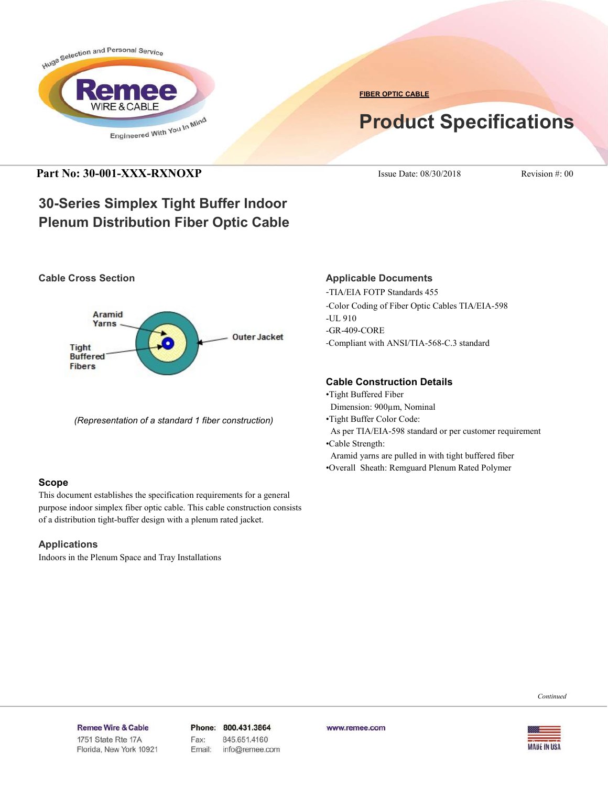

**FIBER OPTIC CABLE**

# **Product Specifications**

**Part No: 30-001-XXX-RXNOXP** Issue Date: 08/30/2018 Revision #: 00

## **30-Series Simplex Tight Buffer Indoor Plenum Distribution Fiber Optic Cable**





*(Representation of a standard 1 fiber construction)*

### **Scope**

This document establishes the specification requirements for a general purpose indoor simplex fiber optic cable. This cable construction consists of a distribution tight-buffer design with a plenum rated jacket.

### **Applications**

Indoors in the Plenum Space and Tray Installations

### **Applicable Documents**

-TIA/EIA FOTP Standards 455 -Color Coding of Fiber Optic Cables TIA/EIA-598 -UL 910 -GR-409-CORE -Compliant with ANSI/TIA-568-C.3 standard

### **Cable Construction Details**

- •Tight Buffered Fiber
- Dimension: 900µm, Nominal
- •Tight Buffer Color Code:
- As per TIA/EIA-598 standard or per customer requirement
- •Cable Strength:
- Aramid yarns are pulled in with tight buffered fiber
- •Overall Sheath: Remguard Plenum Rated Polymer

*Continued*

#### Remee Wire & Cable Issue No.: 05

Florida, New York 10921

Phone: 800.431.3864 Fax: 845.651.4160 Email: info@remee.com www.remee.com

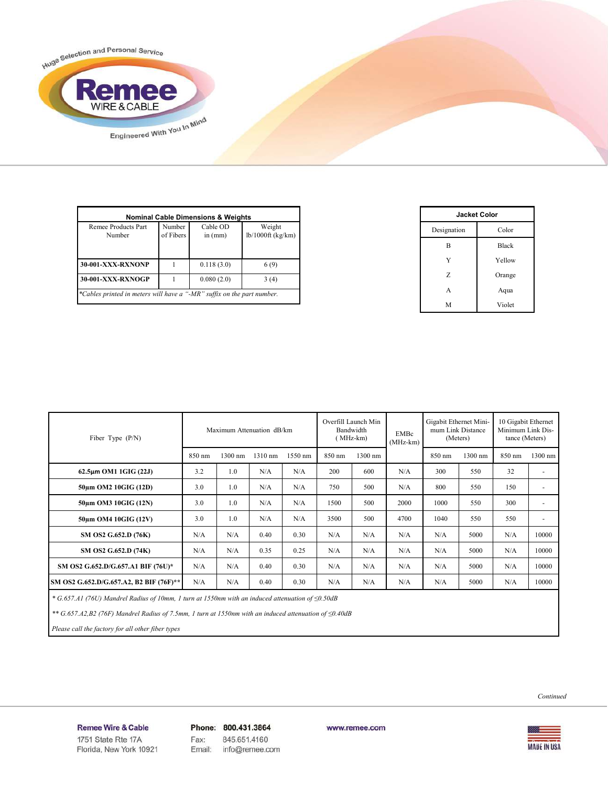Huge Selection and Personal Service R **Remee** Engineered With You In Mind

| <b>Nominal Cable Dimensions &amp; Weights</b>                          |                     |                       |                               |  |
|------------------------------------------------------------------------|---------------------|-----------------------|-------------------------------|--|
| Remee Products Part<br>Number                                          | Number<br>of Fibers | Cable OD<br>in $(mm)$ | Weight<br>$lb/1000ft$ (kg/km) |  |
| <b>30-001-XXX-RXNONP</b>                                               |                     | 0.118(3.0)            | 6(9)                          |  |
| 30-001-XXX-RXNOGP                                                      |                     | 0.080(2.0)            | 3(4)                          |  |
| *Cables printed in meters will have a "-MR" suffix on the part number. |                     |                       |                               |  |

| <b>Jacket Color</b> |              |  |
|---------------------|--------------|--|
| Designation         | Color        |  |
| B                   | <b>Black</b> |  |
| Y                   | Yellow       |  |
| Z                   | Orange       |  |
| A                   | Aqua         |  |
| M                   | Violet       |  |

| Fiber Type $(P/N)$                      | Maximum Attenuation dB/km |         |         |         | Overfill Launch Min<br>Bandwidth<br>EMBc<br>(MHz-km)<br>$(MHz-km)$ |         | Gigabit Ethernet Mini-<br>mum Link Distance<br>(Meters) |        | 10 Gigabit Ethernet<br>Minimum Link Dis-<br>tance (Meters) |        |                          |
|-----------------------------------------|---------------------------|---------|---------|---------|--------------------------------------------------------------------|---------|---------------------------------------------------------|--------|------------------------------------------------------------|--------|--------------------------|
|                                         | 850 nm                    | 1300 nm | 1310 nm | 1550 nm | 850 nm                                                             | 1300 nm |                                                         | 850 nm | 1300 nm                                                    | 850 nm | 1300 nm                  |
| 62.5µm OM1 1GIG (22J)                   | 3.2                       | 1.0     | N/A     | N/A     | 200                                                                | 600     | N/A                                                     | 300    | 550                                                        | 32     | ٠                        |
| 50um OM2 10GIG (12D)                    | 3.0                       | 1.0     | N/A     | N/A     | 750                                                                | 500     | N/A                                                     | 800    | 550                                                        | 150    | $\overline{\phantom{a}}$ |
| 50um OM3 10GIG (12N)                    | 3.0                       | 1.0     | N/A     | N/A     | 1500                                                               | 500     | 2000                                                    | 1000   | 550                                                        | 300    | $\overline{\phantom{a}}$ |
| 50um OM4 10GIG (12V)                    | 3.0                       | 1.0     | N/A     | N/A     | 3500                                                               | 500     | 4700                                                    | 1040   | 550                                                        | 550    | ٠                        |
| SM OS2 G.652.D (76K)                    | N/A                       | N/A     | 0.40    | 0.30    | N/A                                                                | N/A     | N/A                                                     | N/A    | 5000                                                       | N/A    | 10000                    |
| SM OS2 G.652.D (74K)                    | N/A                       | N/A     | 0.35    | 0.25    | N/A                                                                | N/A     | N/A                                                     | N/A    | 5000                                                       | N/A    | 10000                    |
| SM OS2 G.652.D/G.657.A1 BIF (76U)*      | N/A                       | N/A     | 0.40    | 0.30    | N/A                                                                | N/A     | N/A                                                     | N/A    | 5000                                                       | N/A    | 10000                    |
| SM OS2 G.652.D/G.657.A2, B2 BIF (76F)** | N/A                       | N/A     | 0.40    | 0.30    | N/A                                                                | N/A     | N/A                                                     | N/A    | 5000                                                       | N/A    | 10000                    |

 *\* G.657.A1 (76U) Mandrel Radius of 10mm, 1 turn at 1550nm with an induced attenuation of ≤0.50dB*

 *\*\* G.657.A2,B2 (76F) Mandrel Radius of 7.5mm, 1 turn at 1550nm with an induced attenuation of ≤0.40dB*

 *Please call the factory for all other fiber types*

*Continued*

Remee Wire & Cable Issue No.: 05

Florida, New York 10921

Phone: 800.431.3864 Fax: 845.651.4160 info@remee.com Email:

www.remee.com